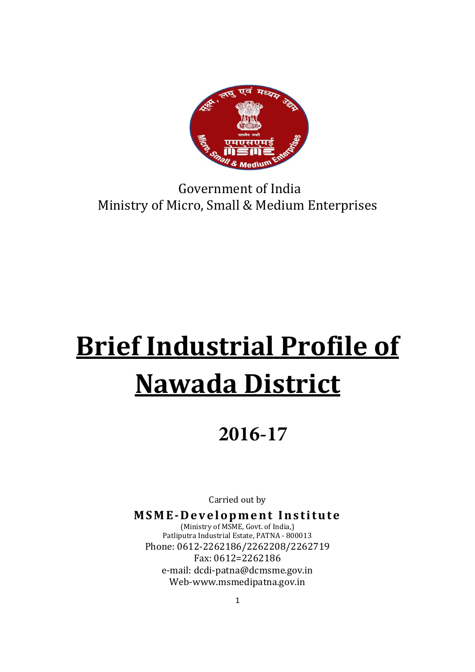

# Government of India Ministry of Micro, Small & Medium Enterprises

# Brief Industrial Profile of Nawada District

# **2016-17**

Carried out by

MSME-Development Institute (Ministry of MSME, Govt. of India,) Patliputra Industrial Estate, PATNA - 800013 Phone: 0612-2262186/2262208/2262719 Fax: 0612=2262186 e-mail: dcdi-patna@dcmsme.gov.in Web-www.msmedipatna.gov.in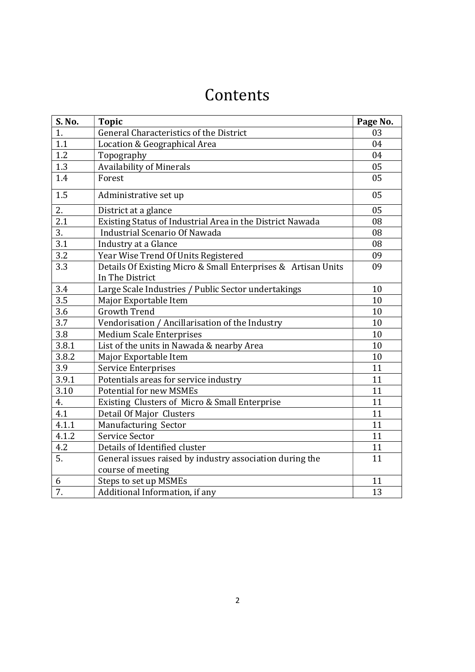# Contents

| S. No. | <b>Topic</b>                                                                     | Page No. |
|--------|----------------------------------------------------------------------------------|----------|
| 1.     | General Characteristics of the District                                          | 03       |
| 1.1    | Location & Geographical Area                                                     | 04       |
| 1.2    | Topography                                                                       | 04       |
| 1.3    | <b>Availability of Minerals</b>                                                  | 05       |
| 1.4    | Forest                                                                           | 05       |
| 1.5    | Administrative set up                                                            | 05       |
| 2.     | District at a glance                                                             | 05       |
| 2.1    | Existing Status of Industrial Area in the District Nawada                        | 08       |
| 3.     | Industrial Scenario Of Nawada                                                    | 08       |
| 3.1    | Industry at a Glance                                                             | 08       |
| 3.2    | Year Wise Trend Of Units Registered                                              | 09       |
| 3.3    | Details Of Existing Micro & Small Enterprises & Artisan Units<br>In The District | 09       |
| 3.4    | Large Scale Industries / Public Sector undertakings                              | 10       |
| 3.5    | Major Exportable Item                                                            | 10       |
| 3.6    | <b>Growth Trend</b>                                                              | 10       |
| 3.7    | Vendorisation / Ancillarisation of the Industry                                  | 10       |
| 3.8    | <b>Medium Scale Enterprises</b>                                                  | 10       |
| 3.8.1  | List of the units in Nawada & nearby Area                                        | 10       |
| 3.8.2  | Major Exportable Item                                                            | 10       |
| 3.9    | Service Enterprises                                                              | 11       |
| 3.9.1  | Potentials areas for service industry                                            | 11       |
| 3.10   | <b>Potential for new MSMEs</b>                                                   | 11       |
| 4.     | Existing Clusters of Micro & Small Enterprise                                    | 11       |
| 4.1    | Detail Of Major Clusters                                                         | 11       |
| 4.1.1  | Manufacturing Sector                                                             | 11       |
| 4.1.2  | Service Sector                                                                   | 11       |
| 4.2    | Details of Identified cluster                                                    | 11       |
| 5.     | General issues raised by industry association during the                         | 11       |
|        | course of meeting                                                                |          |
| 6      | Steps to set up MSMEs                                                            | 11       |
| 7.     | Additional Information, if any                                                   | 13       |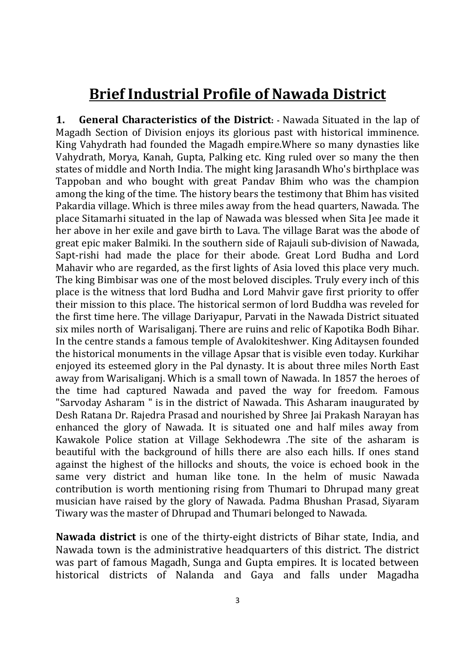# Brief Industrial Profile of Nawada District

1. **General Characteristics of the District:** - Nawada Situated in the lap of Magadh Section of Division enjoys its glorious past with historical imminence. King Vahydrath had founded the Magadh empire.Where so many dynasties like Vahydrath, Morya, Kanah, Gupta, Palking etc. King ruled over so many the then states of middle and North India. The might king Jarasandh Who's birthplace was Tappoban and who bought with great Pandav Bhim who was the champion among the king of the time. The history bears the testimony that Bhim has visited Pakardia village. Which is three miles away from the head quarters, Nawada. The place Sitamarhi situated in the lap of Nawada was blessed when Sita Jee made it her above in her exile and gave birth to Lava. The village Barat was the abode of great epic maker Balmiki. In the southern side of Rajauli sub-division of Nawada, Sapt-rishi had made the place for their abode. Great Lord Budha and Lord Mahavir who are regarded, as the first lights of Asia loved this place very much. The king Bimbisar was one of the most beloved disciples. Truly every inch of this place is the witness that lord Budha and Lord Mahvir gave first priority to offer their mission to this place. The historical sermon of lord Buddha was reveled for the first time here. The village Dariyapur, Parvati in the Nawada District situated six miles north of Warisaliganj. There are ruins and relic of Kapotika Bodh Bihar. In the centre stands a famous temple of Avalokiteshwer. King Aditaysen founded the historical monuments in the village Apsar that is visible even today. Kurkihar enjoyed its esteemed glory in the Pal dynasty. It is about three miles North East away from Warisaliganj. Which is a small town of Nawada. In 1857 the heroes of the time had captured Nawada and paved the way for freedom. Famous "Sarvoday Asharam " is in the district of Nawada. This Asharam inaugurated by Desh Ratana Dr. Rajedra Prasad and nourished by Shree Jai Prakash Narayan has enhanced the glory of Nawada. It is situated one and half miles away from Kawakole Police station at Village Sekhodewra .The site of the asharam is beautiful with the background of hills there are also each hills. If ones stand against the highest of the hillocks and shouts, the voice is echoed book in the same very district and human like tone. In the helm of music Nawada contribution is worth mentioning rising from Thumari to Dhrupad many great musician have raised by the glory of Nawada. Padma Bhushan Prasad, Siyaram Tiwary was the master of Dhrupad and Thumari belonged to Nawada.

Nawada district is one of the thirty-eight districts of Bihar state, India, and Nawada town is the administrative headquarters of this district. The district was part of famous Magadh, Sunga and Gupta empires. It is located between historical districts of Nalanda and Gaya and falls under Magadha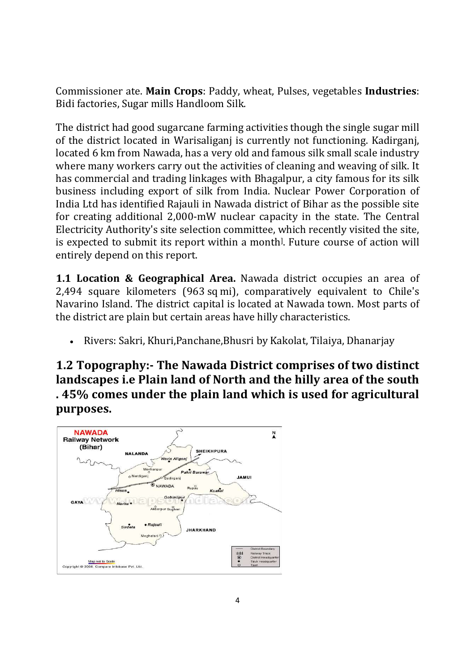Commissioner ate. Main Crops: Paddy, wheat, Pulses, vegetables Industries: Bidi factories, Sugar mills Handloom Silk.

The district had good sugarcane farming activities though the single sugar mill of the district located in Warisaliganj is currently not functioning. Kadirganj, located 6 km from Nawada, has a very old and famous silk small scale industry where many workers carry out the activities of cleaning and weaving of silk. It has commercial and trading linkages with Bhagalpur, a city famous for its silk business including export of silk from India. Nuclear Power Corporation of India Ltd has identified Rajauli in Nawada district of Bihar as the possible site for creating additional 2,000-mW nuclear capacity in the state. The Central Electricity Authority's site selection committee, which recently visited the site, is expected to submit its report within a month<sup>[1]</sup>. Future course of action will entirely depend on this report.

1.1 Location & Geographical Area. Nawada district occupies an area of 2,494 square kilometers (963 sq mi), comparatively equivalent to Chile's Navarino Island. The district capital is located at Nawada town. Most parts of the district are plain but certain areas have hilly characteristics.

Rivers: Sakri, Khuri,Panchane,Bhusri by Kakolat, Tilaiya, Dhanarjay

1.2 Topography:- The Nawada District comprises of two distinct landscapes i.e Plain land of North and the hilly area of the south . 45% comes under the plain land which is used for agricultural purposes.

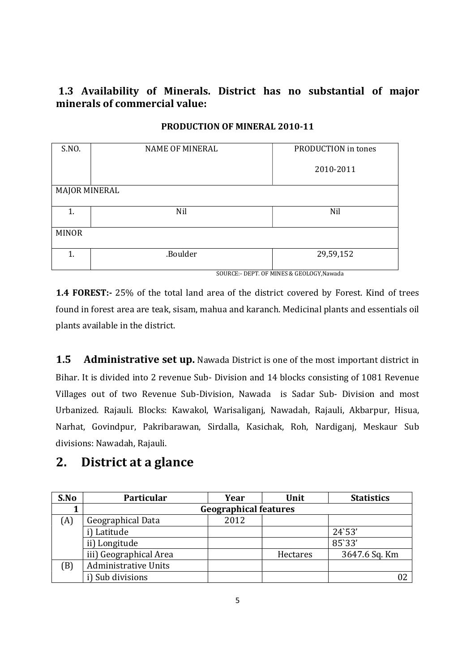#### 1.3 Availability of Minerals. District has no substantial of major minerals of commercial value:

| S.NO.                | <b>NAME OF MINERAL</b> | PRODUCTION in tones                      |
|----------------------|------------------------|------------------------------------------|
|                      |                        |                                          |
|                      |                        |                                          |
|                      |                        | 2010-2011                                |
|                      |                        |                                          |
|                      |                        |                                          |
| <b>MAJOR MINERAL</b> |                        |                                          |
|                      |                        |                                          |
|                      |                        |                                          |
| 1.                   | Nil                    | Nil                                      |
|                      |                        |                                          |
|                      |                        |                                          |
| <b>MINOR</b>         |                        |                                          |
|                      |                        |                                          |
|                      |                        |                                          |
| 1.                   | .Boulder               | 29,59,152                                |
|                      |                        |                                          |
|                      |                        |                                          |
|                      |                        | SOURCE:- DEPT. OF MINES & GEOLOGY.Nawada |

#### PRODUCTION OF MINERAL 2010-11

1.4 FOREST:- 25% of the total land area of the district covered by Forest. Kind of trees found in forest area are teak, sisam, mahua and karanch. Medicinal plants and essentials oil plants available in the district.

1.5 Administrative set up. Nawada District is one of the most important district in Bihar. It is divided into 2 revenue Sub- Division and 14 blocks consisting of 1081 Revenue Villages out of two Revenue Sub-Division, Nawada is Sadar Sub- Division and most Urbanized. Rajauli. Blocks: Kawakol, Warisaliganj, Nawadah, Rajauli, Akbarpur, Hisua, Narhat, Govindpur, Pakribarawan, Sirdalla, Kasichak, Roh, Nardiganj, Meskaur Sub divisions: Nawadah, Rajauli.

## 2. District at a glance

| S.No | Particular                  | Year                         | Unit     | <b>Statistics</b> |  |  |
|------|-----------------------------|------------------------------|----------|-------------------|--|--|
|      |                             | <b>Geographical features</b> |          |                   |  |  |
| (A)  | Geographical Data           | 2012                         |          |                   |  |  |
|      | i) Latitude                 |                              |          | 24'53'            |  |  |
|      | ii) Longitude               |                              |          | 85`33'            |  |  |
|      | iii) Geographical Area      |                              | Hectares | 3647.6 Sq. Km     |  |  |
| (B)  | <b>Administrative Units</b> |                              |          |                   |  |  |
|      | i) Sub divisions            |                              |          |                   |  |  |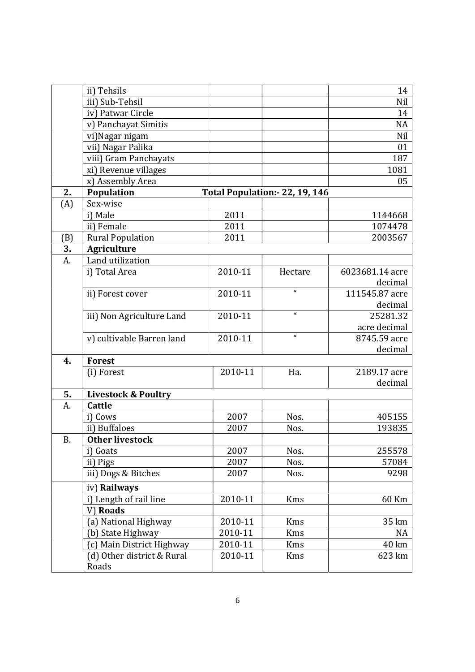|     | ii) Tehsils                    |         |                               | 14              |
|-----|--------------------------------|---------|-------------------------------|-----------------|
|     | iii) Sub-Tehsil                |         |                               | Nil             |
|     | iv) Patwar Circle              |         |                               | 14              |
|     | v) Panchayat Simitis           |         |                               | <b>NA</b>       |
|     | vi)Nagar nigam                 |         |                               | Nil             |
|     | vii) Nagar Palika              |         |                               | 01              |
|     | viii) Gram Panchayats          |         |                               | 187             |
|     | xi) Revenue villages           |         |                               | 1081            |
|     | x) Assembly Area               |         |                               | 05              |
| 2.  | Population                     |         | Total Population: 22, 19, 146 |                 |
| (A) | Sex-wise                       |         |                               |                 |
|     | i) Male                        | 2011    |                               | 1144668         |
|     | ii) Female                     | 2011    |                               | 1074478         |
| (B) | <b>Rural Population</b>        | 2011    |                               | 2003567         |
| 3.  | <b>Agriculture</b>             |         |                               |                 |
| A.  | Land utilization               |         |                               |                 |
|     | i) Total Area                  | 2010-11 | Hectare                       | 6023681.14 acre |
|     |                                |         |                               | decimal         |
|     | ii) Forest cover               | 2010-11 | $\mathbf{u}$                  | 111545.87 acre  |
|     |                                |         |                               | decimal         |
|     | iii) Non Agriculture Land      | 2010-11 | $\pmb{\epsilon}$              | 25281.32        |
|     |                                |         |                               | acre decimal    |
|     | v) cultivable Barren land      | 2010-11 | $\mathbf{u}$                  | 8745.59 acre    |
|     |                                |         |                               | decimal         |
| 4.  | <b>Forest</b>                  |         |                               |                 |
|     | (i) Forest                     | 2010-11 | Ha.                           | 2189.17 acre    |
|     |                                |         |                               | decimal         |
| 5.  | <b>Livestock &amp; Poultry</b> |         |                               |                 |
| A.  | Cattle                         |         |                               |                 |
|     | i) Cows                        | 2007    | Nos.                          | 405155          |
|     | ii) Buffaloes                  | 2007    | Nos.                          | 193835          |
| Β.  | <b>Other livestock</b>         |         |                               |                 |
|     | i) Goats                       | 2007    | Nos.                          | 255578          |
|     | ii) Pigs                       | 2007    | Nos.                          | 57084           |
|     | iii) Dogs & Bitches            | 2007    | Nos.                          | 9298            |
|     | iv) Railways                   |         |                               |                 |
|     | i) Length of rail line         | 2010-11 | <b>Kms</b>                    | 60 Km           |
|     | V) Roads                       |         |                               |                 |
|     | (a) National Highway           | 2010-11 | Kms                           | 35 km           |
|     | (b) State Highway              | 2010-11 | Kms                           | <b>NA</b>       |
|     | (c) Main District Highway      | 2010-11 | Kms                           | 40 km           |
|     | (d) Other district & Rural     | 2010-11 | Kms                           | 623 km          |
|     | Roads                          |         |                               |                 |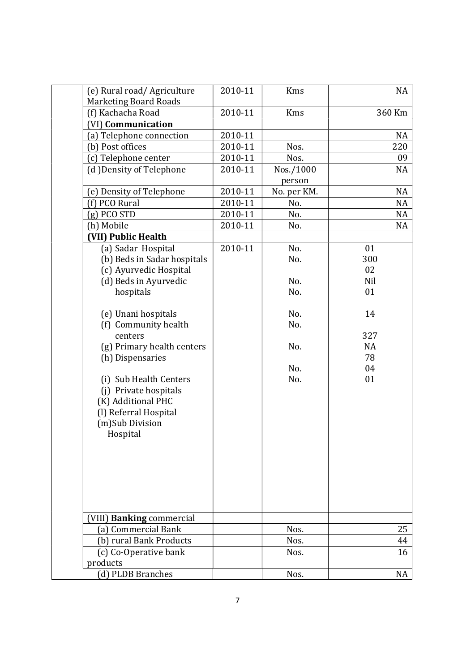| (e) Rural road/Agriculture   | 2010-11 | <b>Kms</b>  | NA        |
|------------------------------|---------|-------------|-----------|
| <b>Marketing Board Roads</b> |         |             |           |
| (f) Kachacha Road            | 2010-11 | Kms         | 360 Km    |
| (VI) Communication           |         |             |           |
| (a) Telephone connection     | 2010-11 |             | <b>NA</b> |
| (b) Post offices             | 2010-11 | Nos.        | 220       |
| (c) Telephone center         | 2010-11 | Nos.        | 09        |
| (d) Density of Telephone     | 2010-11 | Nos./1000   | <b>NA</b> |
|                              |         | person      |           |
| (e) Density of Telephone     | 2010-11 | No. per KM. | <b>NA</b> |
| (f) PCO Rural                | 2010-11 | No.         | <b>NA</b> |
| $(g)$ PCO STD                | 2010-11 | No.         | <b>NA</b> |
| (h) Mobile                   | 2010-11 | No.         | <b>NA</b> |
| (VII) Public Health          |         |             |           |
| (a) Sadar Hospital           | 2010-11 | No.         | 01        |
| (b) Beds in Sadar hospitals  |         | No.         | 300       |
| (c) Ayurvedic Hospital       |         |             | 02        |
| (d) Beds in Ayurvedic        |         | No.         | Nil       |
| hospitals                    |         | No.         | 01        |
|                              |         |             |           |
| (e) Unani hospitals          |         | No.         | 14        |
| (f) Community health         |         | No.         |           |
| centers                      |         |             | 327       |
| (g) Primary health centers   |         | No.         | <b>NA</b> |
| (h) Dispensaries             |         |             | 78        |
|                              |         | No.         | 04        |
| (i) Sub Health Centers       |         | No.         | 01        |
| (j) Private hospitals        |         |             |           |
| (K) Additional PHC           |         |             |           |
| (l) Referral Hospital        |         |             |           |
| (m)Sub Division              |         |             |           |
| Hospital                     |         |             |           |
|                              |         |             |           |
|                              |         |             |           |
|                              |         |             |           |
|                              |         |             |           |
|                              |         |             |           |
|                              |         |             |           |
| (VIII) Banking commercial    |         |             |           |
| (a) Commercial Bank          |         | Nos.        | 25        |
| (b) rural Bank Products      |         | Nos.        | 44        |
| (c) Co-Operative bank        |         | Nos.        | 16        |
| products                     |         |             |           |
| (d) PLDB Branches            |         | Nos.        | NA        |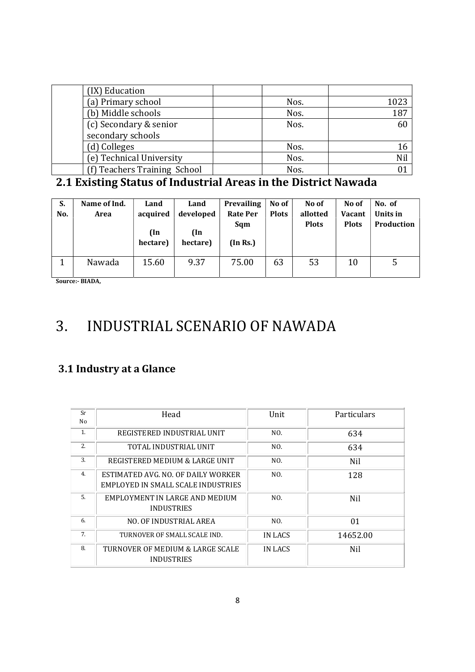| (IX) Education               |      |      |
|------------------------------|------|------|
| (a) Primary school           | Nos. | 1023 |
| (b) Middle schools           | Nos. | 187  |
| (c) Secondary & senior       | Nos. | 60   |
| secondary schools            |      |      |
| (d) Colleges                 | Nos. |      |
| (e) Technical University     | Nos. | Nil  |
| (f) Teachers Training School | Nos. |      |

# 2.1 Existing Status of Industrial Areas in the District Nawada

| S.<br>No. | Name of Ind.<br>Area | Land<br>acquired<br>(In<br>hectare) | Land<br>developed<br>(In<br>hectare) | <b>Prevailing</b><br><b>Rate Per</b><br>Sqm<br>(In Rs.) | No of<br><b>Plots</b> | No of<br>allotted<br><b>Plots</b> | No of<br><b>Vacant</b><br><b>Plots</b> | No. of<br>Units in<br>Production |
|-----------|----------------------|-------------------------------------|--------------------------------------|---------------------------------------------------------|-----------------------|-----------------------------------|----------------------------------------|----------------------------------|
|           | Nawada               | 15.60                               | 9.37                                 | 75.00                                                   | 63                    | 53                                | 10                                     | 5                                |

Source:- BIADA,

# 3. INDUSTRIAL SCENARIO OF NAWADA

## 3.1 Industry at a Glance

| Sr<br>No | Head                                                                     | Unit    | Particulars |
|----------|--------------------------------------------------------------------------|---------|-------------|
| 1.       | REGISTERED INDUSTRIAL UNIT                                               | NO.     | 634         |
| 2.       | TOTAL INDUSTRIAL UNIT                                                    | NO.     | 634         |
| 3.       | REGISTERED MEDIUM & LARGE UNIT                                           | NO.     | Nil         |
| 4.       | ESTIMATED AVG. NO. OF DAILY WORKER<br>EMPLOYED IN SMALL SCALE INDUSTRIES | NO.     | 128         |
| .5.      | EMPLOYMENT IN LARGE AND MEDIUM<br><b>INDUSTRIES</b>                      | NO.     | Nil         |
| 6.       | NO. OF INDUSTRIAL AREA                                                   | NO.     | 01          |
| 7.       | TURNOVER OF SMALL SCALE IND.                                             | IN LACS | 14652.00    |
| 8.       | TURNOVER OF MEDIUM & LARGE SCALE<br><b>INDUSTRIES</b>                    | IN LACS | Nil         |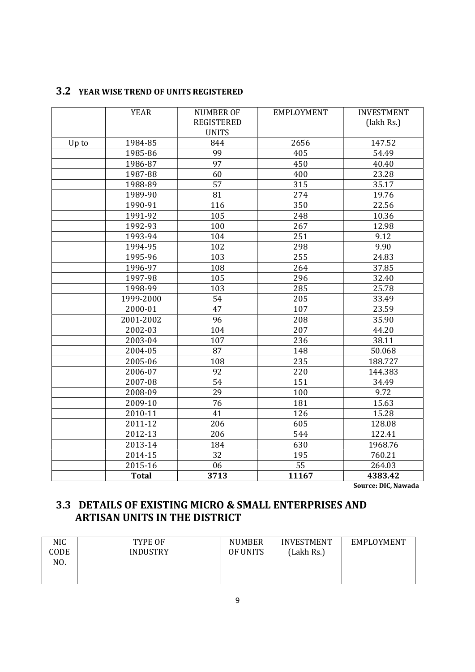#### 3.2 YEAR WISE TREND OF UNITS REGISTERED

|       | <b>YEAR</b>  | <b>NUMBER OF</b><br><b>REGISTERED</b> | <b>EMPLOYMENT</b> | <b>INVESTMENT</b><br>(lakh Rs.) |
|-------|--------------|---------------------------------------|-------------------|---------------------------------|
|       |              | <b>UNITS</b>                          |                   |                                 |
| Up to | 1984-85      | 844                                   | 2656              | 147.52                          |
|       | 1985-86      | 99                                    | 405               | 54.49                           |
|       | 1986-87      | 97                                    | 450               | 40.40                           |
|       | 1987-88      | 60                                    | 400               | 23.28                           |
|       | 1988-89      | $\overline{57}$                       | 315               | 35.17                           |
|       | 1989-90      | 81                                    | 274               | 19.76                           |
|       | 1990-91      | 116                                   | 350               | 22.56                           |
|       | 1991-92      | 105                                   | 248               | 10.36                           |
|       | 1992-93      | 100                                   | 267               | 12.98                           |
|       | 1993-94      | 104                                   | 251               | 9.12                            |
|       | 1994-95      | 102                                   | 298               | 9.90                            |
|       | 1995-96      | 103                                   | 255               | 24.83                           |
|       | 1996-97      | 108                                   | 264               | 37.85                           |
|       | 1997-98      | 105                                   | 296               | 32.40                           |
|       | 1998-99      | 103                                   | 285               | 25.78                           |
|       | 1999-2000    | 54                                    | 205               | 33.49                           |
|       | 2000-01      | 47                                    | 107               | 23.59                           |
|       | 2001-2002    | 96                                    | 208               | 35.90                           |
|       | 2002-03      | 104                                   | 207               | 44.20                           |
|       | 2003-04      | 107                                   | 236               | 38.11                           |
|       | 2004-05      | 87                                    | 148               | 50.068                          |
|       | 2005-06      | 108                                   | 235               | 188.727                         |
|       | 2006-07      | 92                                    | 220               | 144.383                         |
|       | 2007-08      | 54                                    | 151               | 34.49                           |
|       | 2008-09      | 29                                    | 100               | 9.72                            |
|       | 2009-10      | 76                                    | 181               | 15.63                           |
|       | 2010-11      | 41                                    | 126               | 15.28                           |
|       | 2011-12      | 206                                   | 605               | 128.08                          |
|       | 2012-13      | 206                                   | 544               | 122.41                          |
|       | 2013-14      | 184                                   | 630               | 1968.76                         |
|       | 2014-15      | 32                                    | 195               | 760.21                          |
|       | 2015-16      | 06                                    | $\overline{55}$   | 264.03                          |
|       | <b>Total</b> | 3713                                  | 11167             | 4383.42                         |

Source: DIC, Nawada

## 3.3 DETAILS OF EXISTING MICRO & SMALL ENTERPRISES AND ARTISAN UNITS IN THE DISTRICT

| <b>NIC</b><br>TYPE OF<br>CODE<br><b>INDUSTRY</b><br>NO. | <b>NUMBER</b><br>OF UNITS | <b>INVESTMENT</b><br>(Lakh Rs.) | EMPLOYMENT |
|---------------------------------------------------------|---------------------------|---------------------------------|------------|
|---------------------------------------------------------|---------------------------|---------------------------------|------------|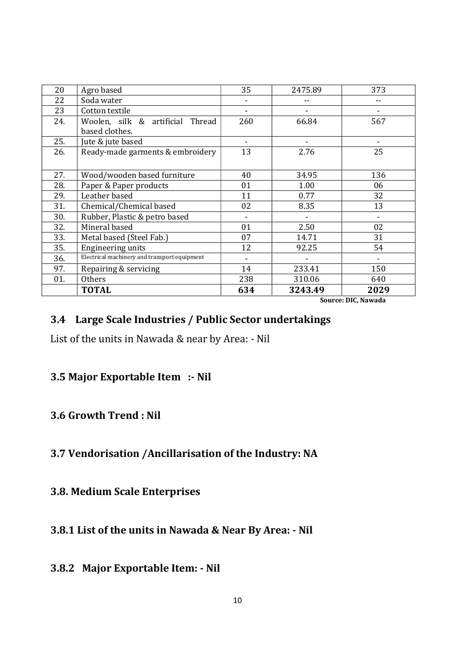| 20  | Agro based                                   | 35  | 2475.89 | 373                                      |
|-----|----------------------------------------------|-----|---------|------------------------------------------|
| 22  | Soda water                                   |     |         |                                          |
| 23  | Cotton textile                               |     |         |                                          |
| 24. | Woolen, silk & artificial<br>Thread          | 260 | 66.84   | 567                                      |
|     | based clothes.                               |     |         |                                          |
| 25. | Jute & jute based                            |     |         |                                          |
| 26. | Ready-made garments & embroidery             | 13  | 2.76    | 25                                       |
| 27. | Wood/wooden based furniture                  | 40  | 34.95   | 136                                      |
| 28. | Paper & Paper products                       | 01  | 1.00    | 06                                       |
| 29. | Leather based                                | 11  | 0.77    | 32                                       |
| 31. | Chemical/Chemical based                      | 02  | 8.35    | 13                                       |
| 30. | Rubber, Plastic & petro based                | ۰   |         |                                          |
| 32. | Mineral based                                | 01  | 2.50    | 02                                       |
| 33. | Metal based (Steel Fab.)                     | 07  | 14.71   | 31                                       |
| 35. | Engineering units                            | 12  | 92.25   | 54                                       |
| 36. | Electrical machinery and transport equipment |     |         |                                          |
| 97. | Repairing & servicing                        | 14  | 233.41  | 150                                      |
| 01. | <b>Others</b>                                | 238 | 310.06  | 640                                      |
|     | <b>TOTAL</b>                                 | 634 | 3243.49 | 2029<br>$C_1, \ldots, C_n$ MC Masses Jac |

Source: DIC, Nawada

#### 3.4 Large Scale Industries / Public Sector undertakings

List of the units in Nawada & near by Area: - Nil

#### 3.5 Major Exportable Item :- Nil

#### 3.6 Growth Trend : Nil

### 3.7 Vendorisation /Ancillarisation of the Industry: NA

#### 3.8. Medium Scale Enterprises

3.8.1 List of the units in Nawada & Near By Area: - Nil

#### 3.8.2 Major Exportable Item: - Nil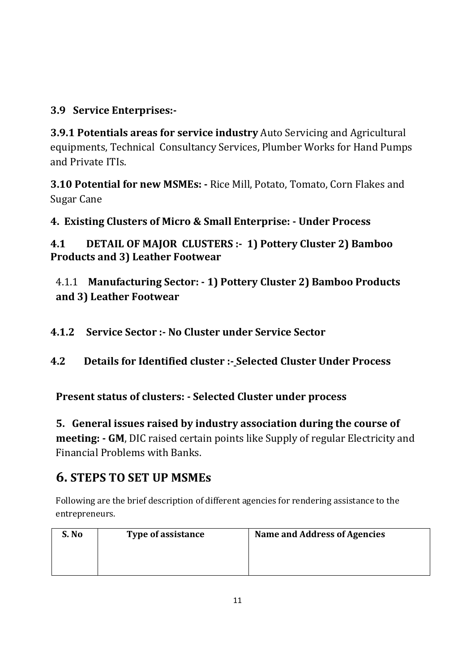## 3.9 Service Enterprises:-

3.9.1 Potentials areas for service industry Auto Servicing and Agricultural equipments, Technical Consultancy Services, Plumber Works for Hand Pumps and Private ITIs.

3.10 Potential for new MSMEs: - Rice Mill, Potato, Tomato, Corn Flakes and Sugar Cane

4. Existing Clusters of Micro & Small Enterprise: - Under Process

4.1 DETAIL OF MAJOR CLUSTERS :- 1) Pottery Cluster 2) Bamboo Products and 3) Leather Footwear

4.1.1 Manufacturing Sector: - 1) Pottery Cluster 2) Bamboo Products and 3) Leather Footwear

4.1.2 Service Sector :- No Cluster under Service Sector

4.2 Details for Identified cluster :- Selected Cluster Under Process

Present status of clusters: - Selected Cluster under process

5. General issues raised by industry association during the course of meeting: - GM, DIC raised certain points like Supply of regular Electricity and Financial Problems with Banks.

# 6. STEPS TO SET UP MSMEs

Following are the brief description of different agencies for rendering assistance to the entrepreneurs.

| S. No | Type of assistance | <b>Name and Address of Agencies</b> |
|-------|--------------------|-------------------------------------|
|       |                    |                                     |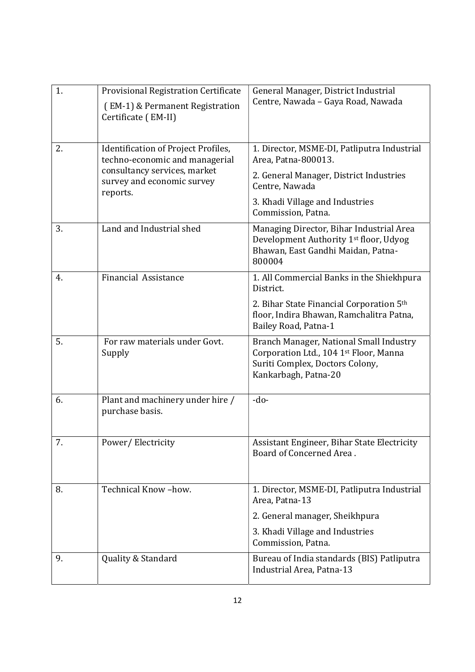| 1. | Provisional Registration Certificate<br>(EM-1) & Permanent Registration<br>Certificate (EM-II)                                                  | General Manager, District Industrial<br>Centre, Nawada - Gaya Road, Nawada                                                                                                               |
|----|-------------------------------------------------------------------------------------------------------------------------------------------------|------------------------------------------------------------------------------------------------------------------------------------------------------------------------------------------|
| 2. | Identification of Project Profiles,<br>techno-economic and managerial<br>consultancy services, market<br>survey and economic survey<br>reports. | 1. Director, MSME-DI, Patliputra Industrial<br>Area, Patna-800013.<br>2. General Manager, District Industries<br>Centre, Nawada<br>3. Khadi Village and Industries<br>Commission, Patna. |
| 3. | Land and Industrial shed                                                                                                                        | Managing Director, Bihar Industrial Area<br>Development Authority 1st floor, Udyog<br>Bhawan, East Gandhi Maidan, Patna-<br>800004                                                       |
| 4. | <b>Financial Assistance</b>                                                                                                                     | 1. All Commercial Banks in the Shiekhpura<br>District.<br>2. Bihar State Financial Corporation 5th<br>floor, Indira Bhawan, Ramchalitra Patna,<br>Bailey Road, Patna-1                   |
| 5. | For raw materials under Govt.<br>Supply                                                                                                         | Branch Manager, National Small Industry<br>Corporation Ltd., 104 1st Floor, Manna<br>Suriti Complex, Doctors Colony,<br>Kankarbagh, Patna-20                                             |
| 6. | Plant and machinery under hire /<br>purchase basis.                                                                                             | $-do-$                                                                                                                                                                                   |
| 7. | Power/Electricity                                                                                                                               | Assistant Engineer, Bihar State Electricity<br>Board of Concerned Area.                                                                                                                  |
| 8. | Technical Know-how.                                                                                                                             | 1. Director, MSME-DI, Patliputra Industrial<br>Area, Patna-13<br>2. General manager, Sheikhpura<br>3. Khadi Village and Industries<br>Commission, Patna.                                 |
| 9. | Quality & Standard                                                                                                                              | Bureau of India standards (BIS) Patliputra<br>Industrial Area, Patna-13                                                                                                                  |